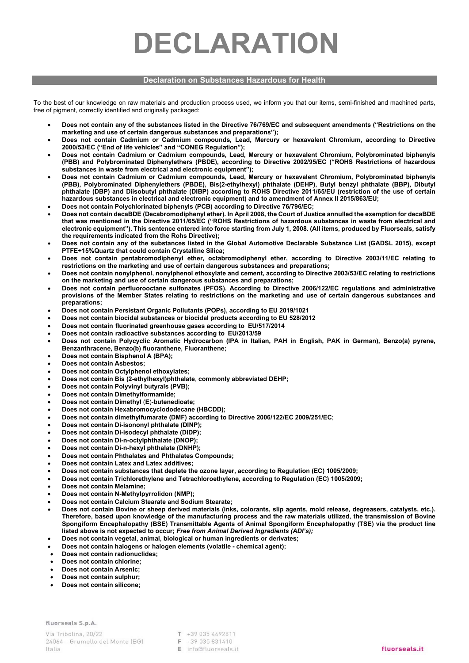## DECLARATION

#### Declaration on Substances Hazardous for Health

To the best of our knowledge on raw materials and production process used, we inform you that our items, semi-finished and machined parts, free of pigment, correctly identified and originally packaged:

- Does not contain any of the substances listed in the Directive 76/769/EC and subsequent amendments ("Restrictions on the marketing and use of certain dangerous substances and preparations");
- Does not contain Cadmium or Cadmium compounds, Lead, Mercury or hexavalent Chromium, according to Directive 2000/53/EC ("End of life vehicles" and "CONEG Regulation");
- Does not contain Cadmium or Cadmium compounds, Lead, Mercury or hexavalent Chromium, Polybrominated biphenyls (PBB) and Polybrominated Diphenylethers (PBDE), according to Directive 2002/95/EC ("ROHS Restrictions of hazardous substances in waste from electrical and electronic equipment");
- Does not contain Cadmium or Cadmium compounds, Lead, Mercury or hexavalent Chromium, Polybrominated biphenyls (PBB), Polybrominated Diphenylethers (PBDE), Bis(2-ethylhexyl) phthalate (DEHP), Butyl benzyl phthalate (BBP), Dibutyl phthalate (DBP) and Diisobutyl phthalate (DIBP) according to ROHS Directive 2011/65/EU (restriction of the use of certain hazardous substances in electrical and electronic equipment) and to amendment of Annex II 2015/863/EU;
- Does not contain Polychlorinated biphenyls (PCB) according to Directive 76/796/EC;
- Does not contain decaBDE (Decabromodiphenyl ether). In April 2008, the Court of Justice annulled the exemption for decaBDE that was mentioned in the Directive 2011/65/EC ("ROHS Restrictions of hazardous substances in waste from electrical and electronic equipment"). This sentence entered into force starting from July 1, 2008. (All items, produced by Fluorseals, satisfy the requirements indicated from the Rohs Directive);
- Does not contain any of the substances listed in the Global Automotive Declarable Substance List (GADSL 2015), except PTFE+15%Quartz that could contain Crystalline Silica;
- Does not contain pentabromodiphenyl ether, octabromodiphenyl ether, according to Directive 2003/11/EC relating to restrictions on the marketing and use of certain dangerous substances and preparations;
- Does not contain nonylphenol, nonylphenol ethoxylate and cement, according to Directive 2003/53/EC relating to restrictions on the marketing and use of certain dangerous substances and preparations;
- Does not contain perfluorooctane sulfonates (PFOS). According to Directive 2006/122/EC regulations and administrative provisions of the Member States relating to restrictions on the marketing and use of certain dangerous substances and preparations;
- Does not contain Persistant Organic Pollutants (POPs), according to EU 2019/1021
- Does not contain biocidal substances or biocidal products according to EU 528/2012
- Does not contain fluorinated greenhouse gases according to EU/517/2014
- Does not contain radioactive substances according to EU/2013/59
- Does not contain Polycyclic Aromatic Hydrocarbon (IPA in Italian, PAH in English, PAK in German), Benzo(a) pyrene, Benzanthracene, Benzo(b) fluoranthene, Fluoranthene;
- Does not contain Bisphenol A (BPA);
- Does not contain Asbestos;
- Does not contain Octylphenol ethoxylates;
- Does not contain Bis (2-ethylhexyl)phthalate, commonly abbreviated DEHP;
- Does not contain Polyvinyl butyrals (PVB);
- Does not contain Dimethylformamide;
- Does not contain Dimethyl (E)-butenedioate;
- Does not contain Hexabromocyclododecane (HBCDD);
- Does not contain dimethylfumarate (DMF) according to Directive 2006/122/EC 2009/251/EC;
- Does not contain Di-isononyl phthalate (DINP);
- Does not contain Di-isodecyl phthalate (DIDP);
- Does not contain Di-n-octylphthalate (DNOP);
- Does not contain Di-n-hexyl phthalate (DNHP);
- Does not contain Phthalates and Phthalates Compounds;
- Does not contain Latex and Latex additives;
- Does not contain substances that deplete the ozone layer, according to Regulation (EC) 1005/2009;
- Does not contain Trichlorethylene and Tetrachloroethylene, according to Regulation (EC) 1005/2009;
- Does not contain Melamine;
- Does not contain N-Methylpyrrolidon (NMP);
- Does not contain Calcium Stearate and Sodium Stearate;
- Does not contain Bovine or sheep derived materials (inks, colorants, slip agents, mold release, degreasers, catalysts, etc.). Therefore, based upon knowledge of the manufacturing process and the raw materials utilized, the transmission of Bovine Spongiform Encephalopathy (BSE) Transmittable Agents of Animal Spongiform Encephalopathy (TSE) via the product line listed above is not expected to occur; Free from Animal Derived Ingredients (ADI's);
- Does not contain vegetal, animal, biological or human ingredients or derivates;
- Does not contain halogens or halogen elements (volatile chemical agent);
- Does not contain radionuclides;
- Does not contain chlorine;
- Does not contain Arsenic;
- Does not contain sulphur;
- Does not contain silicone;

fluorseals S.p.A.

T +39 035 4492811 F +39 035 831410 E info@fluorseals.it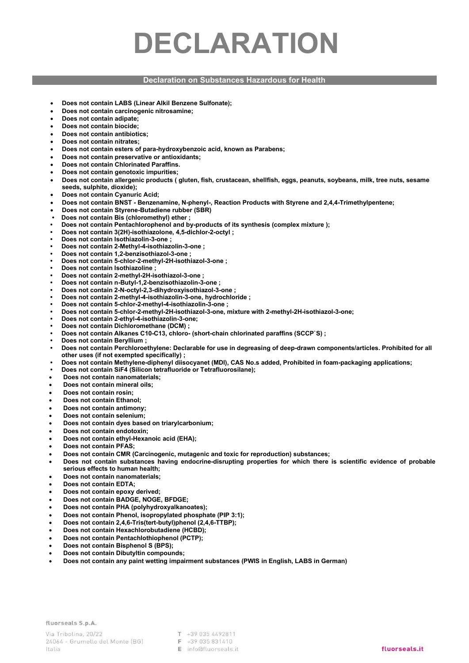# DECLARATION

### Declaration on Substances Hazardous for Health

- Does not contain LABS (Linear Alkil Benzene Sulfonate);
- Does not contain carcinogenic nitrosamine;
- Does not contain adipate;
- Does not contain biocide;
- Does not contain antibiotics;
- Does not contain nitrates;
- Does not contain esters of para-hydroxybenzoic acid, known as Parabens;
- Does not contain preservative or antioxidants;
- Does not contain Chlorinated Paraffins.
- Does not contain genotoxic impurities;
- Does not contain allergenic products ( gluten, fish, crustacean, shellfish, eggs, peanuts, soybeans, milk, tree nuts, sesame seeds, sulphite, dioxide);
- Does not contain Cyanuric Acid;
- Does not contain BNST Benzenamine, N-phenyl-, Reaction Products with Styrene and 2,4,4-Trimethylpentene;
- Does not contain Styrene-Butadiene rubber (SBR)
- Does not contain Bis (chloromethyl) ether ;
- Does not contain Pentachlorophenol and by-products of its synthesis (complex mixture );
- Does not contain 3(2H)-isothiazolone, 4,5-dichlor-2-octyl ;
- Does not contain Isothiazolin-3-one ;
- Does not contain 2-Methyl-4-isothiazolin-3-one ;
- Does not contain 1,2-benzisothiazol-3-one ;
- Does not contain 5-chlor-2-methyl-2H-isothiazol-3-one ;
- Does not contain Isothiazoline ;
- Does not contain 2-methyl-2H-isothiazol-3-one ;
- Does not contain n-Butyl-1,2-benzisothiazolin-3-one ;
- Does not contain 2-N-octyl-2,3-dihydroxyisothiazol-3-one ;
- Does not contain 2-methyl-4-isothiazolin-3-one, hydrochloride ;
- Does not contain 5-chlor-2-methyl-4-isothiazolin-3-one ;
- Does not contain 5-chlor-2-methyl-2H-isothiazol-3-one, mixture with 2-methyl-2H-isothiazol-3-one;
- Does not contain 2-ethyl-4-isothiazolin-3-one;
- Does not contain Dichloromethane (DCM) ;
- Does not contain Alkanes C10-C13, chloro- (short-chain chlorinated paraffins (SCCP`S) ;
- Does not contain Beryllium ;
- Does not contain Perchloroethylene: Declarable for use in degreasing of deep-drawn components/articles. Prohibited for all other uses (if not exempted specifically) ;
- Does not contain Methylene-diphenyl diisocyanet (MDI), CAS No.s added, Prohibited in foam-packaging applications;
- Does not contain SiF4 (Silicon tetrafluoride or Tetrafluorosilane);
- Does not contain nanomaterials;
- Does not contain mineral oils;
- Does not contain rosin;
- Does not contain Ethanol;
- Does not contain antimony;
- Does not contain selenium;
- Does not contain dyes based on triarylcarbonium;
- Does not contain endotoxin;
- Does not contain ethyl-Hexanoic acid (EHA);
- Does not contain PFAS;
- Does not contain CMR (Carcinogenic, mutagenic and toxic for reproduction) substances;
- Does not contain substances having endocrine-disrupting properties for which there is scientific evidence of probable serious effects to human health;
- Does not contain nanomaterials;
- Does not contain EDTA;
- Does not contain epoxy derived;
- Does not contain BADGE, NOGE, BFDGE;
- Does not contain PHA (polyhydroxyalkanoates);
- Does not contain Phenol, isopropylated phosphate (PIP 3:1);
- Does not contain 2,4,6-Tris(tert-butyl)phenol (2,4,6-TTBP);
- Does not contain Hexachlorobutadiene (HCBD);
- Does not contain Pentachlothiophenol (PCTP);
- Does not contain Bisphenol S (BPS);
- Does not contain Dibutyltin compounds;
- Does not contain any paint wetting impairment substances (PWIS in English, LABS in German)

fluorseals S.p.A.